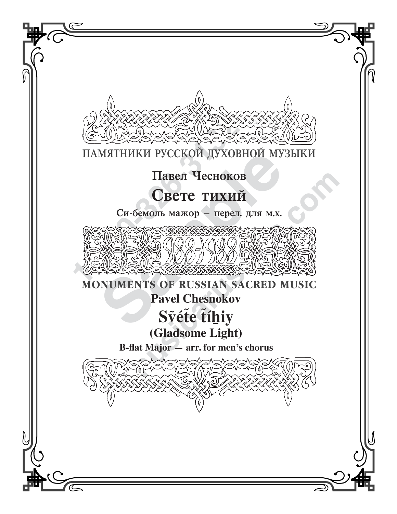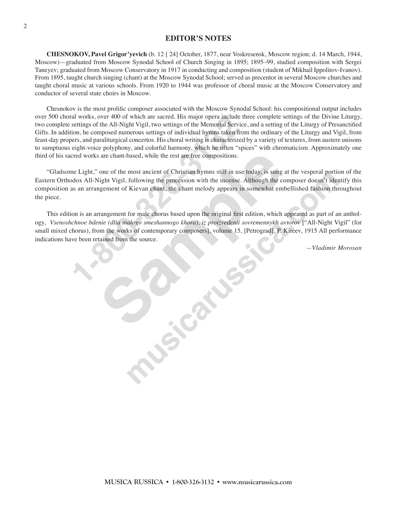## **EDITOR'S NOTES**

**CHESNOKOV, Pavel Grigor'yevich** (b. 12 [ 24] October, 1877, near Voskresensk, Moscow region; d. 14 March, 1944, Moscow)—graduated from Moscow Synodal School of Church Singing in 1895; 1895–99, studied composition with Sergei Taneyev; graduated from Moscow Conservatory in 1917 in conducting and composition (student of Mikhail Ippolitov-Ivanov). From 1895, taught church singing (chant) at the Moscow Synodal School; served as precentor in several Moscow churches and taught choral music at various schools. From 1920 to 1944 was professor of choral music at the Moscow Conservatory and conductor of several state choirs in Moscow.

ral works, over 400 of which are sacred. His major opera include<br>settings of the All-Night Vigil, two settings of the Memorial Service,<br>settings of the All-Night Vigil, two settings of indvidual hyms taken fire<br>ores, and p Chesnokov is the most prolific composer associated with the Moscow Synodal School: his compositional output includes over 500 choral works, over 400 of which are sacred. His major opera include three complete settings of the Divine Liturgy, two complete settings of the All-Night Vigil, two settings of the Memorial Service, and a setting of the Liturgy of Presanctified Gifts. In addition, he composed numerous settings of individual hymns taken from the ordinary of the Liturgy and Vigil, from feast-day propers, and paraliturgical concertos. His choral writing is characterized by a variety of textures, from austere unisons to sumptuous eight-voice polyphony, and colorful harmony, which he often "spices" with chromaticism. Approximately one third of his sacred works are chant-based, while the rest are free compositions.

"Gladsome Light," one of the most ancient of Christian hymns still in use today, is sung at the vesperal portion of the Eastern Orthodox All-Night Vigil, following the procession with the incense. Although the composer doesn't identify this composition as an arrangement of Kievan chant, the chant melody appears in somewhat embellished fashion throughout the piece.

sare chant-based, while the rest are free compositions.<br>
one of the most ancient of Christian hymns still in use today, is sung<br>
light Vigil, following the procession with the incense. Although the corresponding<br>
ingement most ancient of Christian hystoms stuff music bota, is sing at the versional portion of Christman by the procession with the incense. Although the composer doesn't identified Kievan chant, the chant melody appears in somew This edition is an arrangement for male chorus based upon the original first edition, which appeared as part of an anthology, *Vsenoshchnoe bdenie (dlia malogo smeshannogo khora), iz proizvedenii sovremennykh avtorov* ["All-Night Vigil" (for small mixed chorus), from the works of contemporary composers], volume 15, [Petrograd], P. Kireev, 1915 All performance indications have been retained from the source.

*—Vladimir Morosan*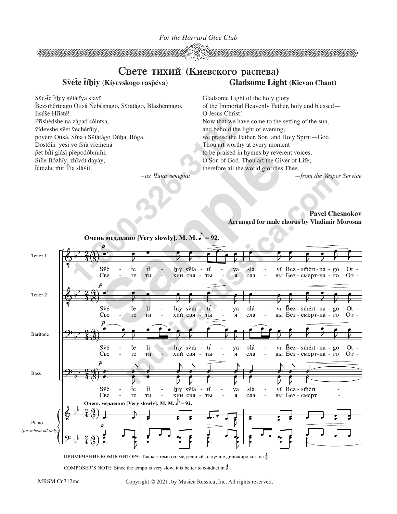*For the Harvard Glee Club*



## **Süéùe ùíìiy (Kíyevskogo rasöéva) Gladsome Light (Kievan Chant)** Свете тихий (Киевского распева)

O Jesus Christ!

Gladsome Light of the holy glory

and behold the light of evening,

Thou art worthy at every moment

of the Immortal Heavenly Father, holy and blessed—

Now that we have come to the setting of the sun,

we praise the Father, Son, and Holy Spirit—God.

to be praised in hymns by reverent voices.

Své-te tíhiy svîatiya slávï

 $\tilde{B}$ ezsm̃értnago Ottsá Ñebésnago, Svîatágo, Blazhénnago, Iisúse Hristé! Pr̃ishédshe na západ sólntsa, üíèevshe süet üeche´rñiy, poyém Ottsá, Sina i Svîatágo Dúha, Bóga. Dostóin yesí vo fšía vřemená pet bîti glásï prepodóbnimi; Sîñe Bózhïy, zhïvót dayáy,

ùe´mzhe ãir Ùâ sla´üit.

## O Son of God, Thou art the Giver of Life; therefore all the world glorifies Thee. *—from the Vesper Service*

 $-$ из Чина вечерни

**Pavel Chesnokov Arranged for male chorus by Vladimir Morosan**



ПРИМЕЧАНИЕ КОМПОЗИТОРА: Так как темп оч. медленный то лучше дирижировать на  $\frac{4}{8}$  .

COMPOSER'S NOTE: Since the tempo is very slow, it is better to conduct in  $\frac{4}{8}$ .

Copyright © 2021, by Musica Russica, Inc. All rights reserved.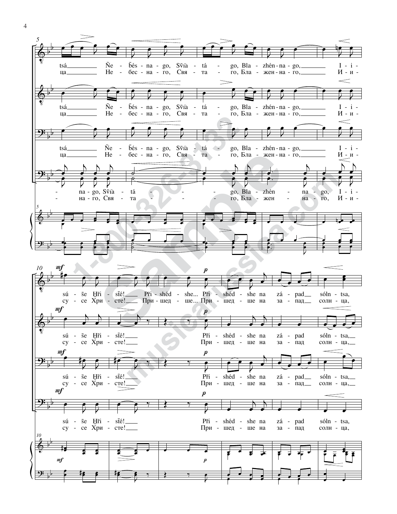

 $\overline{4}$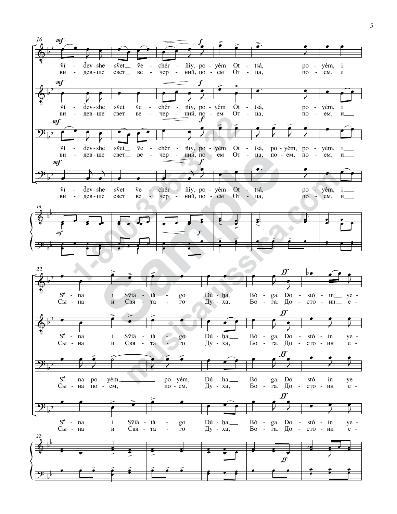